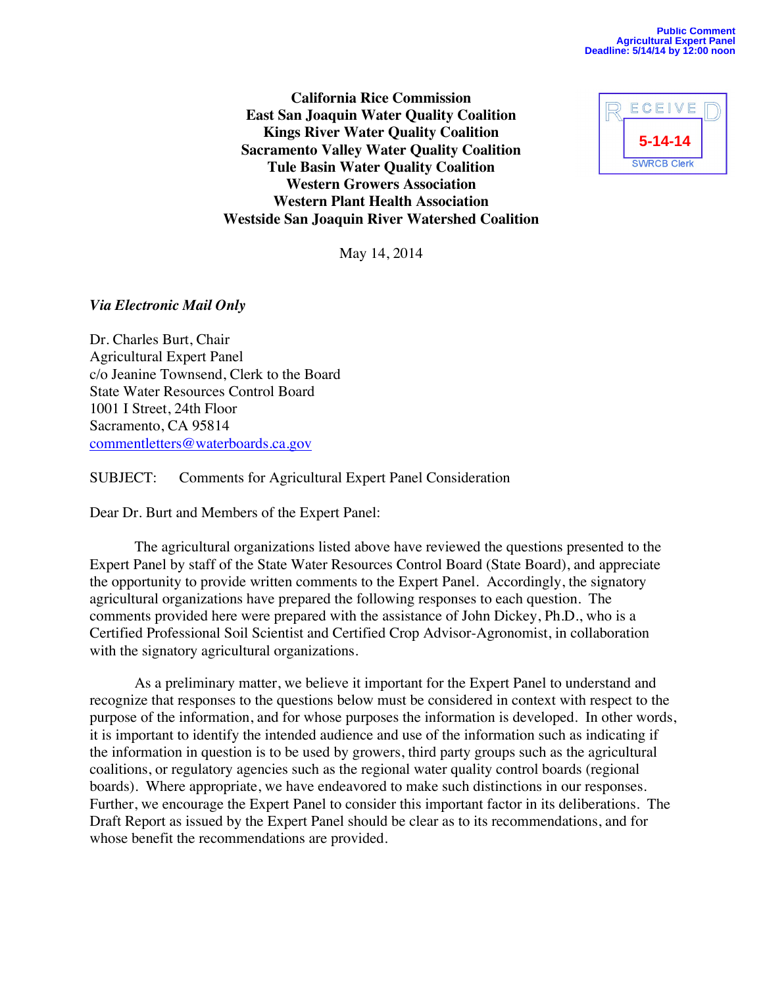**California Rice Commission East San Joaquin Water Quality Coalition Kings River Water Quality Coalition Sacramento Valley Water Quality Coalition Tule Basin Water Quality Coalition Western Growers Association Western Plant Health Association Westside San Joaquin River Watershed Coalition**



May 14, 2014

### *Via Electronic Mail Only*

Dr. Charles Burt, Chair Agricultural Expert Panel c/o Jeanine Townsend, Clerk to the Board State Water Resources Control Board 1001 I Street, 24th Floor Sacramento, CA 95814 commentletters@waterboards.ca.gov

SUBJECT: Comments for Agricultural Expert Panel Consideration

Dear Dr. Burt and Members of the Expert Panel:

The agricultural organizations listed above have reviewed the questions presented to the Expert Panel by staff of the State Water Resources Control Board (State Board), and appreciate the opportunity to provide written comments to the Expert Panel. Accordingly, the signatory agricultural organizations have prepared the following responses to each question. The comments provided here were prepared with the assistance of John Dickey, Ph.D., who is a Certified Professional Soil Scientist and Certified Crop Advisor-Agronomist, in collaboration with the signatory agricultural organizations.

As a preliminary matter, we believe it important for the Expert Panel to understand and recognize that responses to the questions below must be considered in context with respect to the purpose of the information, and for whose purposes the information is developed. In other words, it is important to identify the intended audience and use of the information such as indicating if the information in question is to be used by growers, third party groups such as the agricultural coalitions, or regulatory agencies such as the regional water quality control boards (regional boards). Where appropriate, we have endeavored to make such distinctions in our responses. Further, we encourage the Expert Panel to consider this important factor in its deliberations. The Draft Report as issued by the Expert Panel should be clear as to its recommendations, and for whose benefit the recommendations are provided.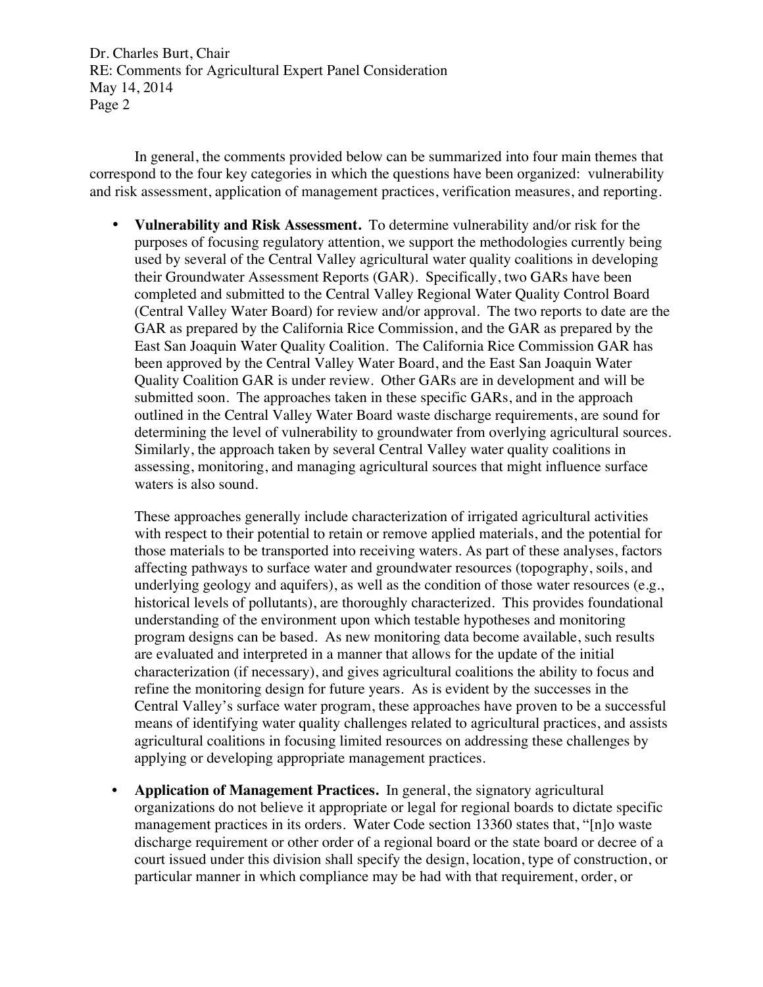In general, the comments provided below can be summarized into four main themes that correspond to the four key categories in which the questions have been organized: vulnerability and risk assessment, application of management practices, verification measures, and reporting.

• **Vulnerability and Risk Assessment.** To determine vulnerability and/or risk for the purposes of focusing regulatory attention, we support the methodologies currently being used by several of the Central Valley agricultural water quality coalitions in developing their Groundwater Assessment Reports (GAR). Specifically, two GARs have been completed and submitted to the Central Valley Regional Water Quality Control Board (Central Valley Water Board) for review and/or approval. The two reports to date are the GAR as prepared by the California Rice Commission, and the GAR as prepared by the East San Joaquin Water Quality Coalition. The California Rice Commission GAR has been approved by the Central Valley Water Board, and the East San Joaquin Water Quality Coalition GAR is under review. Other GARs are in development and will be submitted soon. The approaches taken in these specific GARs, and in the approach outlined in the Central Valley Water Board waste discharge requirements, are sound for determining the level of vulnerability to groundwater from overlying agricultural sources. Similarly, the approach taken by several Central Valley water quality coalitions in assessing, monitoring, and managing agricultural sources that might influence surface waters is also sound.

These approaches generally include characterization of irrigated agricultural activities with respect to their potential to retain or remove applied materials, and the potential for those materials to be transported into receiving waters. As part of these analyses, factors affecting pathways to surface water and groundwater resources (topography, soils, and underlying geology and aquifers), as well as the condition of those water resources (e.g., historical levels of pollutants), are thoroughly characterized. This provides foundational understanding of the environment upon which testable hypotheses and monitoring program designs can be based. As new monitoring data become available, such results are evaluated and interpreted in a manner that allows for the update of the initial characterization (if necessary), and gives agricultural coalitions the ability to focus and refine the monitoring design for future years. As is evident by the successes in the Central Valley's surface water program, these approaches have proven to be a successful means of identifying water quality challenges related to agricultural practices, and assists agricultural coalitions in focusing limited resources on addressing these challenges by applying or developing appropriate management practices.

• **Application of Management Practices.** In general, the signatory agricultural organizations do not believe it appropriate or legal for regional boards to dictate specific management practices in its orders. Water Code section 13360 states that, "[n]o waste discharge requirement or other order of a regional board or the state board or decree of a court issued under this division shall specify the design, location, type of construction, or particular manner in which compliance may be had with that requirement, order, or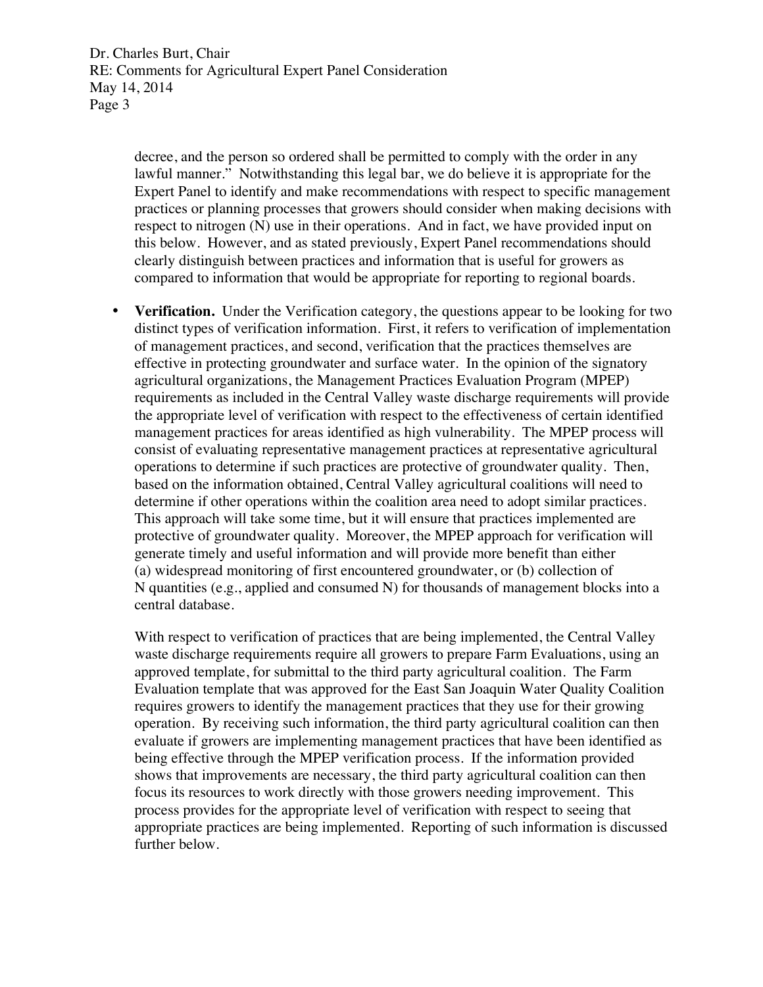> decree, and the person so ordered shall be permitted to comply with the order in any lawful manner." Notwithstanding this legal bar, we do believe it is appropriate for the Expert Panel to identify and make recommendations with respect to specific management practices or planning processes that growers should consider when making decisions with respect to nitrogen (N) use in their operations. And in fact, we have provided input on this below. However, and as stated previously, Expert Panel recommendations should clearly distinguish between practices and information that is useful for growers as compared to information that would be appropriate for reporting to regional boards.

• **Verification.** Under the Verification category, the questions appear to be looking for two distinct types of verification information. First, it refers to verification of implementation of management practices, and second, verification that the practices themselves are effective in protecting groundwater and surface water. In the opinion of the signatory agricultural organizations, the Management Practices Evaluation Program (MPEP) requirements as included in the Central Valley waste discharge requirements will provide the appropriate level of verification with respect to the effectiveness of certain identified management practices for areas identified as high vulnerability. The MPEP process will consist of evaluating representative management practices at representative agricultural operations to determine if such practices are protective of groundwater quality. Then, based on the information obtained, Central Valley agricultural coalitions will need to determine if other operations within the coalition area need to adopt similar practices. This approach will take some time, but it will ensure that practices implemented are protective of groundwater quality. Moreover, the MPEP approach for verification will generate timely and useful information and will provide more benefit than either (a) widespread monitoring of first encountered groundwater, or (b) collection of N quantities (e.g., applied and consumed N) for thousands of management blocks into a central database.

With respect to verification of practices that are being implemented, the Central Valley waste discharge requirements require all growers to prepare Farm Evaluations, using an approved template, for submittal to the third party agricultural coalition. The Farm Evaluation template that was approved for the East San Joaquin Water Quality Coalition requires growers to identify the management practices that they use for their growing operation. By receiving such information, the third party agricultural coalition can then evaluate if growers are implementing management practices that have been identified as being effective through the MPEP verification process. If the information provided shows that improvements are necessary, the third party agricultural coalition can then focus its resources to work directly with those growers needing improvement. This process provides for the appropriate level of verification with respect to seeing that appropriate practices are being implemented. Reporting of such information is discussed further below.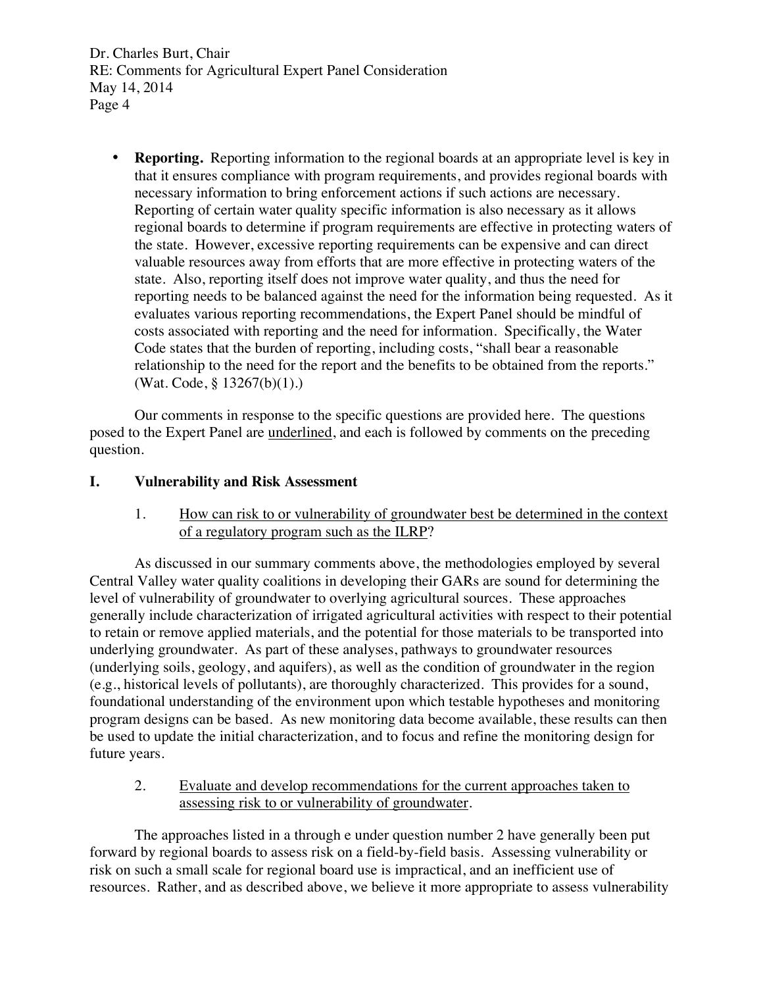• **Reporting.** Reporting information to the regional boards at an appropriate level is key in that it ensures compliance with program requirements, and provides regional boards with necessary information to bring enforcement actions if such actions are necessary. Reporting of certain water quality specific information is also necessary as it allows regional boards to determine if program requirements are effective in protecting waters of the state. However, excessive reporting requirements can be expensive and can direct valuable resources away from efforts that are more effective in protecting waters of the state. Also, reporting itself does not improve water quality, and thus the need for reporting needs to be balanced against the need for the information being requested. As it evaluates various reporting recommendations, the Expert Panel should be mindful of costs associated with reporting and the need for information. Specifically, the Water Code states that the burden of reporting, including costs, "shall bear a reasonable relationship to the need for the report and the benefits to be obtained from the reports." (Wat. Code, § 13267(b)(1).)

Our comments in response to the specific questions are provided here. The questions posed to the Expert Panel are underlined, and each is followed by comments on the preceding question.

## **I. Vulnerability and Risk Assessment**

1. How can risk to or vulnerability of groundwater best be determined in the context of a regulatory program such as the ILRP?

As discussed in our summary comments above, the methodologies employed by several Central Valley water quality coalitions in developing their GARs are sound for determining the level of vulnerability of groundwater to overlying agricultural sources. These approaches generally include characterization of irrigated agricultural activities with respect to their potential to retain or remove applied materials, and the potential for those materials to be transported into underlying groundwater. As part of these analyses, pathways to groundwater resources (underlying soils, geology, and aquifers), as well as the condition of groundwater in the region (e.g., historical levels of pollutants), are thoroughly characterized. This provides for a sound, foundational understanding of the environment upon which testable hypotheses and monitoring program designs can be based. As new monitoring data become available, these results can then be used to update the initial characterization, and to focus and refine the monitoring design for future years.

2. Evaluate and develop recommendations for the current approaches taken to assessing risk to or vulnerability of groundwater.

The approaches listed in a through e under question number 2 have generally been put forward by regional boards to assess risk on a field-by-field basis. Assessing vulnerability or risk on such a small scale for regional board use is impractical, and an inefficient use of resources. Rather, and as described above, we believe it more appropriate to assess vulnerability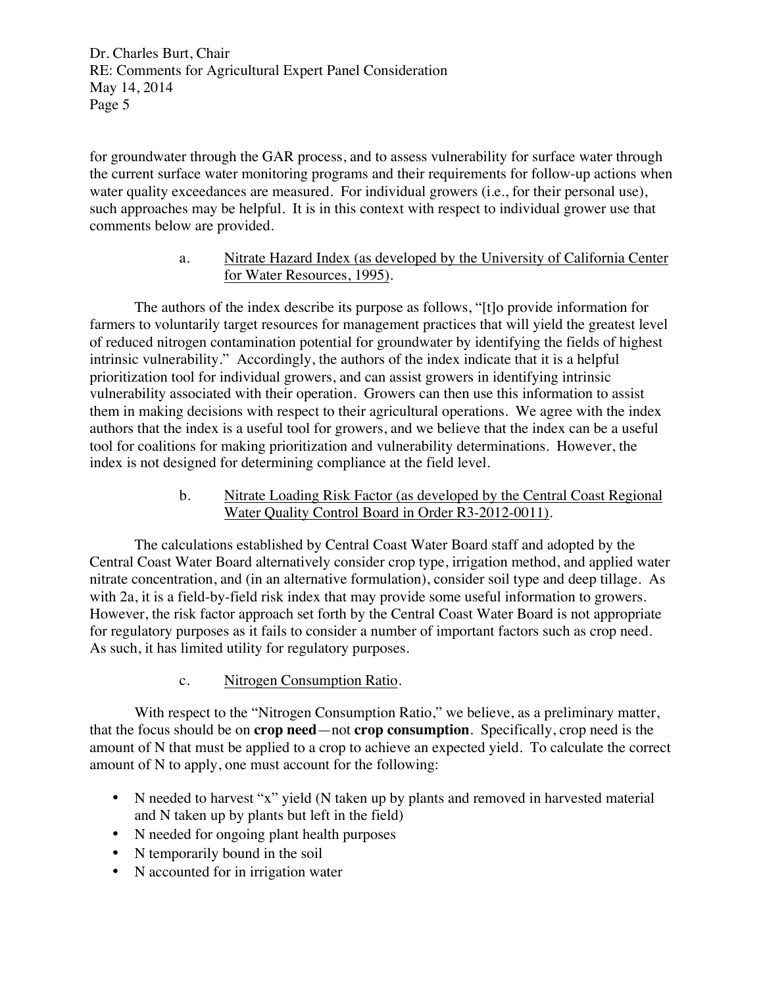for groundwater through the GAR process, and to assess vulnerability for surface water through the current surface water monitoring programs and their requirements for follow-up actions when water quality exceedances are measured. For individual growers (i.e., for their personal use), such approaches may be helpful. It is in this context with respect to individual grower use that comments below are provided.

### a. Nitrate Hazard Index (as developed by the University of California Center for Water Resources, 1995).

The authors of the index describe its purpose as follows, "[t]o provide information for farmers to voluntarily target resources for management practices that will yield the greatest level of reduced nitrogen contamination potential for groundwater by identifying the fields of highest intrinsic vulnerability." Accordingly, the authors of the index indicate that it is a helpful prioritization tool for individual growers, and can assist growers in identifying intrinsic vulnerability associated with their operation. Growers can then use this information to assist them in making decisions with respect to their agricultural operations. We agree with the index authors that the index is a useful tool for growers, and we believe that the index can be a useful tool for coalitions for making prioritization and vulnerability determinations. However, the index is not designed for determining compliance at the field level.

> b. Nitrate Loading Risk Factor (as developed by the Central Coast Regional Water Quality Control Board in Order R3-2012-0011).

The calculations established by Central Coast Water Board staff and adopted by the Central Coast Water Board alternatively consider crop type, irrigation method, and applied water nitrate concentration, and (in an alternative formulation), consider soil type and deep tillage. As with 2a, it is a field-by-field risk index that may provide some useful information to growers. However, the risk factor approach set forth by the Central Coast Water Board is not appropriate for regulatory purposes as it fails to consider a number of important factors such as crop need. As such, it has limited utility for regulatory purposes.

# c. Nitrogen Consumption Ratio.

With respect to the "Nitrogen Consumption Ratio," we believe, as a preliminary matter, that the focus should be on **crop need**—not **crop consumption**. Specifically, crop need is the amount of N that must be applied to a crop to achieve an expected yield. To calculate the correct amount of N to apply, one must account for the following:

- N needed to harvest "x" yield (N taken up by plants and removed in harvested material and N taken up by plants but left in the field)
- N needed for ongoing plant health purposes
- N temporarily bound in the soil
- N accounted for in irrigation water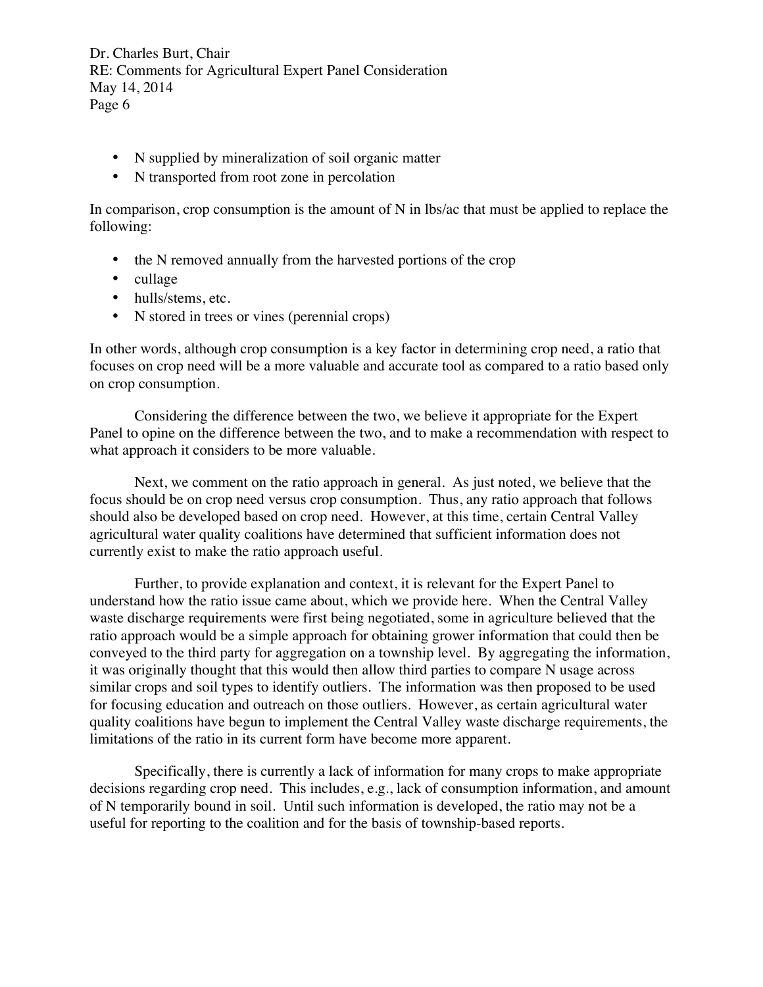- N supplied by mineralization of soil organic matter
- N transported from root zone in percolation

In comparison, crop consumption is the amount of  $N$  in lbs/ac that must be applied to replace the following:

- the N removed annually from the harvested portions of the crop
- cullage
- hulls/stems, etc.
- N stored in trees or vines (perennial crops)

In other words, although crop consumption is a key factor in determining crop need, a ratio that focuses on crop need will be a more valuable and accurate tool as compared to a ratio based only on crop consumption.

Considering the difference between the two, we believe it appropriate for the Expert Panel to opine on the difference between the two, and to make a recommendation with respect to what approach it considers to be more valuable.

Next, we comment on the ratio approach in general. As just noted, we believe that the focus should be on crop need versus crop consumption. Thus, any ratio approach that follows should also be developed based on crop need. However, at this time, certain Central Valley agricultural water quality coalitions have determined that sufficient information does not currently exist to make the ratio approach useful.

Further, to provide explanation and context, it is relevant for the Expert Panel to understand how the ratio issue came about, which we provide here. When the Central Valley waste discharge requirements were first being negotiated, some in agriculture believed that the ratio approach would be a simple approach for obtaining grower information that could then be conveyed to the third party for aggregation on a township level. By aggregating the information, it was originally thought that this would then allow third parties to compare N usage across similar crops and soil types to identify outliers. The information was then proposed to be used for focusing education and outreach on those outliers. However, as certain agricultural water quality coalitions have begun to implement the Central Valley waste discharge requirements, the limitations of the ratio in its current form have become more apparent.

Specifically, there is currently a lack of information for many crops to make appropriate decisions regarding crop need. This includes, e.g., lack of consumption information, and amount of N temporarily bound in soil. Until such information is developed, the ratio may not be a useful for reporting to the coalition and for the basis of township-based reports.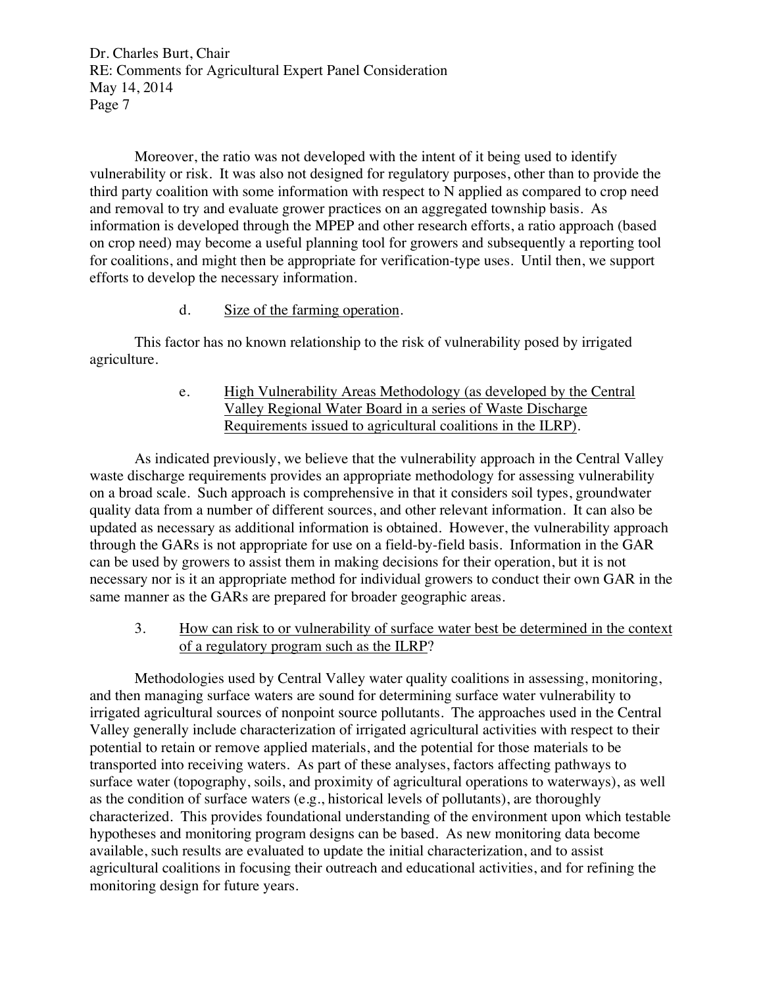Moreover, the ratio was not developed with the intent of it being used to identify vulnerability or risk. It was also not designed for regulatory purposes, other than to provide the third party coalition with some information with respect to N applied as compared to crop need and removal to try and evaluate grower practices on an aggregated township basis. As information is developed through the MPEP and other research efforts, a ratio approach (based on crop need) may become a useful planning tool for growers and subsequently a reporting tool for coalitions, and might then be appropriate for verification-type uses. Until then, we support efforts to develop the necessary information.

### d. Size of the farming operation.

This factor has no known relationship to the risk of vulnerability posed by irrigated agriculture.

# e. High Vulnerability Areas Methodology (as developed by the Central Valley Regional Water Board in a series of Waste Discharge Requirements issued to agricultural coalitions in the ILRP).

As indicated previously, we believe that the vulnerability approach in the Central Valley waste discharge requirements provides an appropriate methodology for assessing vulnerability on a broad scale. Such approach is comprehensive in that it considers soil types, groundwater quality data from a number of different sources, and other relevant information. It can also be updated as necessary as additional information is obtained. However, the vulnerability approach through the GARs is not appropriate for use on a field-by-field basis. Information in the GAR can be used by growers to assist them in making decisions for their operation, but it is not necessary nor is it an appropriate method for individual growers to conduct their own GAR in the same manner as the GARs are prepared for broader geographic areas.

3. How can risk to or vulnerability of surface water best be determined in the context of a regulatory program such as the ILRP?

Methodologies used by Central Valley water quality coalitions in assessing, monitoring, and then managing surface waters are sound for determining surface water vulnerability to irrigated agricultural sources of nonpoint source pollutants. The approaches used in the Central Valley generally include characterization of irrigated agricultural activities with respect to their potential to retain or remove applied materials, and the potential for those materials to be transported into receiving waters. As part of these analyses, factors affecting pathways to surface water (topography, soils, and proximity of agricultural operations to waterways), as well as the condition of surface waters (e.g., historical levels of pollutants), are thoroughly characterized. This provides foundational understanding of the environment upon which testable hypotheses and monitoring program designs can be based. As new monitoring data become available, such results are evaluated to update the initial characterization, and to assist agricultural coalitions in focusing their outreach and educational activities, and for refining the monitoring design for future years.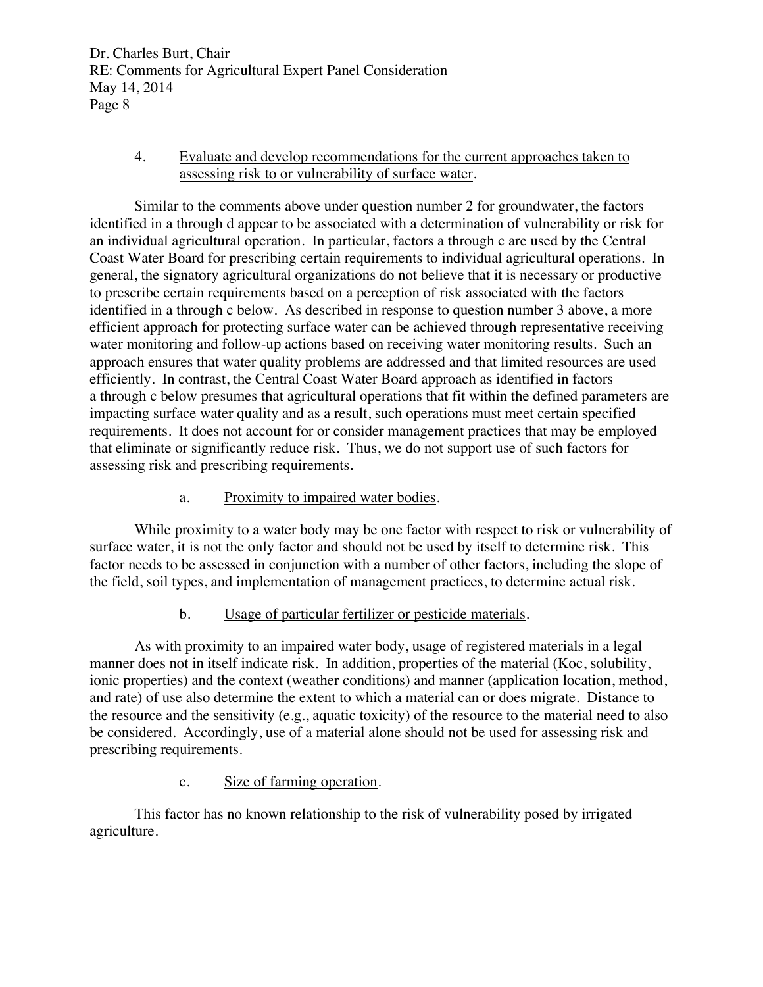### 4. Evaluate and develop recommendations for the current approaches taken to assessing risk to or vulnerability of surface water.

Similar to the comments above under question number 2 for groundwater, the factors identified in a through d appear to be associated with a determination of vulnerability or risk for an individual agricultural operation. In particular, factors a through c are used by the Central Coast Water Board for prescribing certain requirements to individual agricultural operations. In general, the signatory agricultural organizations do not believe that it is necessary or productive to prescribe certain requirements based on a perception of risk associated with the factors identified in a through c below. As described in response to question number 3 above, a more efficient approach for protecting surface water can be achieved through representative receiving water monitoring and follow-up actions based on receiving water monitoring results. Such an approach ensures that water quality problems are addressed and that limited resources are used efficiently. In contrast, the Central Coast Water Board approach as identified in factors a through c below presumes that agricultural operations that fit within the defined parameters are impacting surface water quality and as a result, such operations must meet certain specified requirements. It does not account for or consider management practices that may be employed that eliminate or significantly reduce risk. Thus, we do not support use of such factors for assessing risk and prescribing requirements.

# a. Proximity to impaired water bodies.

While proximity to a water body may be one factor with respect to risk or vulnerability of surface water, it is not the only factor and should not be used by itself to determine risk. This factor needs to be assessed in conjunction with a number of other factors, including the slope of the field, soil types, and implementation of management practices, to determine actual risk.

# b. Usage of particular fertilizer or pesticide materials.

As with proximity to an impaired water body, usage of registered materials in a legal manner does not in itself indicate risk. In addition, properties of the material (Koc, solubility, ionic properties) and the context (weather conditions) and manner (application location, method, and rate) of use also determine the extent to which a material can or does migrate. Distance to the resource and the sensitivity (e.g., aquatic toxicity) of the resource to the material need to also be considered. Accordingly, use of a material alone should not be used for assessing risk and prescribing requirements.

# c. Size of farming operation.

This factor has no known relationship to the risk of vulnerability posed by irrigated agriculture.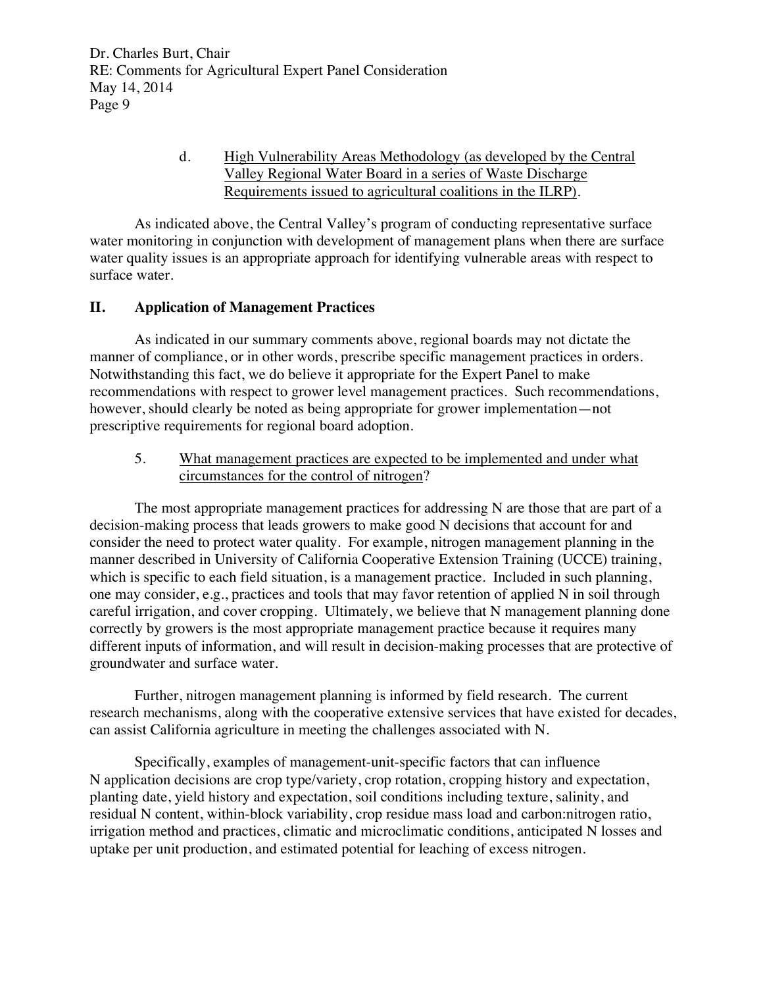# d. High Vulnerability Areas Methodology (as developed by the Central Valley Regional Water Board in a series of Waste Discharge Requirements issued to agricultural coalitions in the ILRP).

As indicated above, the Central Valley's program of conducting representative surface water monitoring in conjunction with development of management plans when there are surface water quality issues is an appropriate approach for identifying vulnerable areas with respect to surface water.

# **II. Application of Management Practices**

As indicated in our summary comments above, regional boards may not dictate the manner of compliance, or in other words, prescribe specific management practices in orders. Notwithstanding this fact, we do believe it appropriate for the Expert Panel to make recommendations with respect to grower level management practices. Such recommendations, however, should clearly be noted as being appropriate for grower implementation—not prescriptive requirements for regional board adoption.

## 5. What management practices are expected to be implemented and under what circumstances for the control of nitrogen?

The most appropriate management practices for addressing N are those that are part of a decision-making process that leads growers to make good N decisions that account for and consider the need to protect water quality. For example, nitrogen management planning in the manner described in University of California Cooperative Extension Training (UCCE) training, which is specific to each field situation, is a management practice. Included in such planning, one may consider, e.g., practices and tools that may favor retention of applied N in soil through careful irrigation, and cover cropping. Ultimately, we believe that N management planning done correctly by growers is the most appropriate management practice because it requires many different inputs of information, and will result in decision-making processes that are protective of groundwater and surface water.

Further, nitrogen management planning is informed by field research. The current research mechanisms, along with the cooperative extensive services that have existed for decades, can assist California agriculture in meeting the challenges associated with N.

Specifically, examples of management-unit-specific factors that can influence N application decisions are crop type/variety, crop rotation, cropping history and expectation, planting date, yield history and expectation, soil conditions including texture, salinity, and residual N content, within-block variability, crop residue mass load and carbon:nitrogen ratio, irrigation method and practices, climatic and microclimatic conditions, anticipated N losses and uptake per unit production, and estimated potential for leaching of excess nitrogen.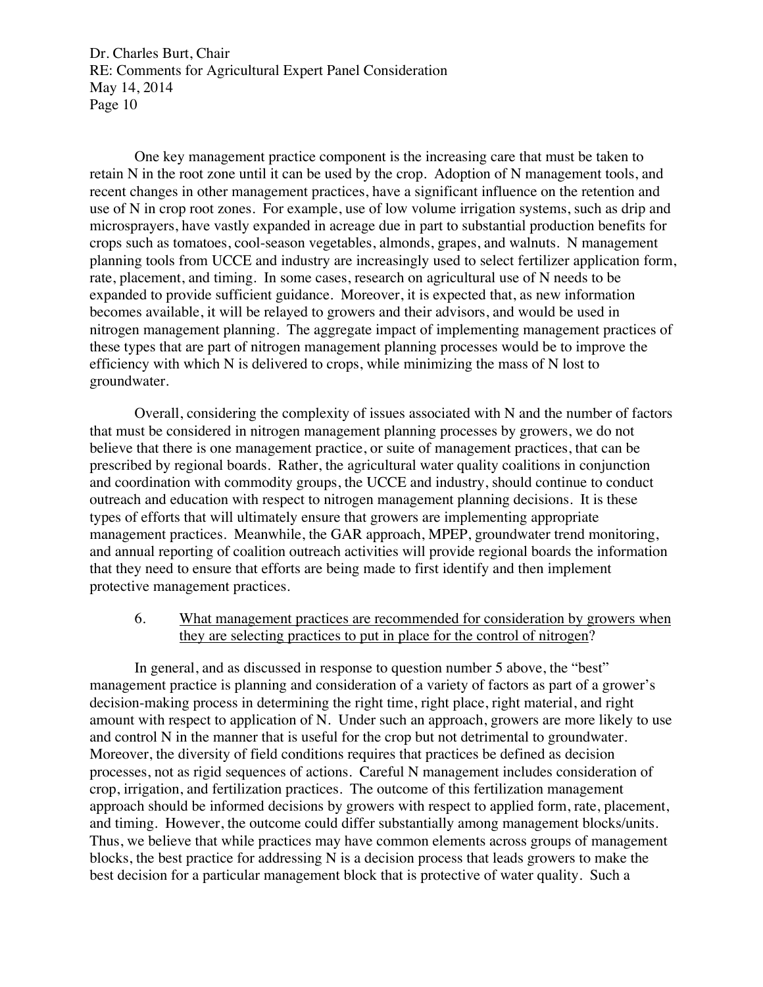One key management practice component is the increasing care that must be taken to retain N in the root zone until it can be used by the crop. Adoption of N management tools, and recent changes in other management practices, have a significant influence on the retention and use of N in crop root zones. For example, use of low volume irrigation systems, such as drip and microsprayers, have vastly expanded in acreage due in part to substantial production benefits for crops such as tomatoes, cool-season vegetables, almonds, grapes, and walnuts. N management planning tools from UCCE and industry are increasingly used to select fertilizer application form, rate, placement, and timing. In some cases, research on agricultural use of N needs to be expanded to provide sufficient guidance. Moreover, it is expected that, as new information becomes available, it will be relayed to growers and their advisors, and would be used in nitrogen management planning. The aggregate impact of implementing management practices of these types that are part of nitrogen management planning processes would be to improve the efficiency with which N is delivered to crops, while minimizing the mass of N lost to groundwater.

Overall, considering the complexity of issues associated with N and the number of factors that must be considered in nitrogen management planning processes by growers, we do not believe that there is one management practice, or suite of management practices, that can be prescribed by regional boards. Rather, the agricultural water quality coalitions in conjunction and coordination with commodity groups, the UCCE and industry, should continue to conduct outreach and education with respect to nitrogen management planning decisions. It is these types of efforts that will ultimately ensure that growers are implementing appropriate management practices. Meanwhile, the GAR approach, MPEP, groundwater trend monitoring, and annual reporting of coalition outreach activities will provide regional boards the information that they need to ensure that efforts are being made to first identify and then implement protective management practices.

6. What management practices are recommended for consideration by growers when they are selecting practices to put in place for the control of nitrogen?

In general, and as discussed in response to question number 5 above, the "best" management practice is planning and consideration of a variety of factors as part of a grower's decision-making process in determining the right time, right place, right material, and right amount with respect to application of N. Under such an approach, growers are more likely to use and control N in the manner that is useful for the crop but not detrimental to groundwater. Moreover, the diversity of field conditions requires that practices be defined as decision processes, not as rigid sequences of actions. Careful N management includes consideration of crop, irrigation, and fertilization practices. The outcome of this fertilization management approach should be informed decisions by growers with respect to applied form, rate, placement, and timing. However, the outcome could differ substantially among management blocks/units. Thus, we believe that while practices may have common elements across groups of management blocks, the best practice for addressing N is a decision process that leads growers to make the best decision for a particular management block that is protective of water quality. Such a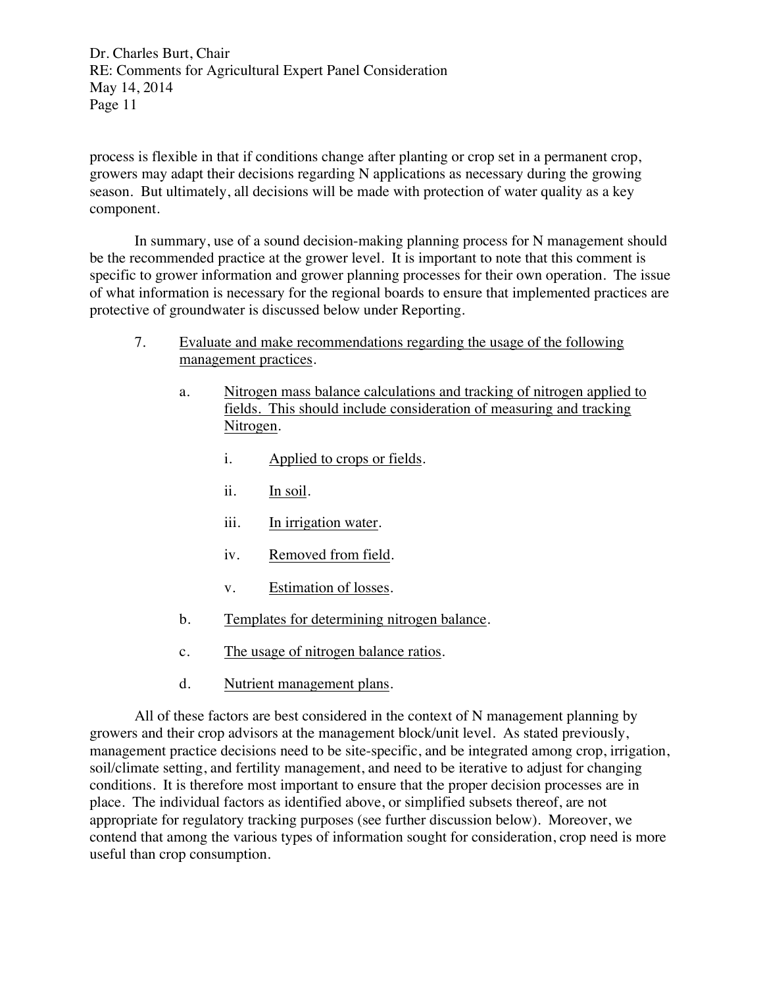process is flexible in that if conditions change after planting or crop set in a permanent crop, growers may adapt their decisions regarding N applications as necessary during the growing season. But ultimately, all decisions will be made with protection of water quality as a key component.

In summary, use of a sound decision-making planning process for N management should be the recommended practice at the grower level. It is important to note that this comment is specific to grower information and grower planning processes for their own operation. The issue of what information is necessary for the regional boards to ensure that implemented practices are protective of groundwater is discussed below under Reporting.

- 7. Evaluate and make recommendations regarding the usage of the following management practices.
	- a. Nitrogen mass balance calculations and tracking of nitrogen applied to fields. This should include consideration of measuring and tracking Nitrogen.
		- i. Applied to crops or fields.
		- ii. In soil.
		- iii. In irrigation water.
		- iv. Removed from field.
		- v. Estimation of losses.
	- b. Templates for determining nitrogen balance.
	- c. The usage of nitrogen balance ratios.
	- d. Nutrient management plans.

All of these factors are best considered in the context of N management planning by growers and their crop advisors at the management block/unit level. As stated previously, management practice decisions need to be site-specific, and be integrated among crop, irrigation, soil/climate setting, and fertility management, and need to be iterative to adjust for changing conditions. It is therefore most important to ensure that the proper decision processes are in place. The individual factors as identified above, or simplified subsets thereof, are not appropriate for regulatory tracking purposes (see further discussion below). Moreover, we contend that among the various types of information sought for consideration, crop need is more useful than crop consumption.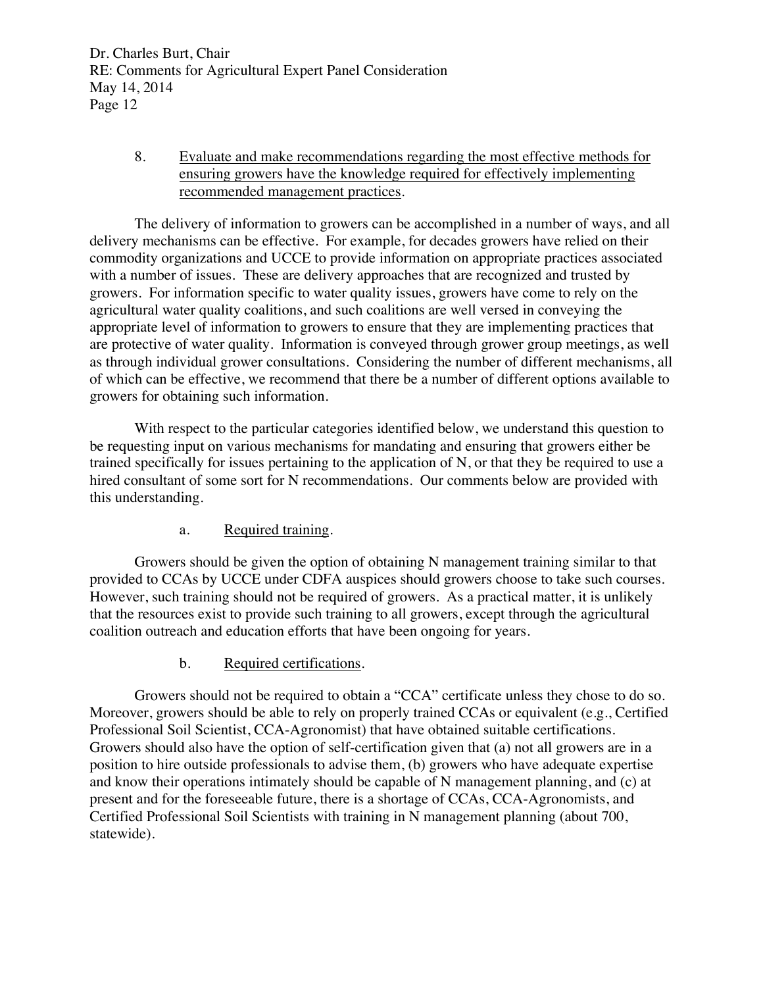# 8. Evaluate and make recommendations regarding the most effective methods for ensuring growers have the knowledge required for effectively implementing recommended management practices.

The delivery of information to growers can be accomplished in a number of ways, and all delivery mechanisms can be effective. For example, for decades growers have relied on their commodity organizations and UCCE to provide information on appropriate practices associated with a number of issues. These are delivery approaches that are recognized and trusted by growers. For information specific to water quality issues, growers have come to rely on the agricultural water quality coalitions, and such coalitions are well versed in conveying the appropriate level of information to growers to ensure that they are implementing practices that are protective of water quality. Information is conveyed through grower group meetings, as well as through individual grower consultations. Considering the number of different mechanisms, all of which can be effective, we recommend that there be a number of different options available to growers for obtaining such information.

With respect to the particular categories identified below, we understand this question to be requesting input on various mechanisms for mandating and ensuring that growers either be trained specifically for issues pertaining to the application of N, or that they be required to use a hired consultant of some sort for N recommendations. Our comments below are provided with this understanding.

# a. Required training.

Growers should be given the option of obtaining N management training similar to that provided to CCAs by UCCE under CDFA auspices should growers choose to take such courses. However, such training should not be required of growers. As a practical matter, it is unlikely that the resources exist to provide such training to all growers, except through the agricultural coalition outreach and education efforts that have been ongoing for years.

### b. Required certifications.

Growers should not be required to obtain a "CCA" certificate unless they chose to do so. Moreover, growers should be able to rely on properly trained CCAs or equivalent (e.g., Certified Professional Soil Scientist, CCA-Agronomist) that have obtained suitable certifications. Growers should also have the option of self-certification given that (a) not all growers are in a position to hire outside professionals to advise them, (b) growers who have adequate expertise and know their operations intimately should be capable of N management planning, and (c) at present and for the foreseeable future, there is a shortage of CCAs, CCA-Agronomists, and Certified Professional Soil Scientists with training in N management planning (about 700, statewide).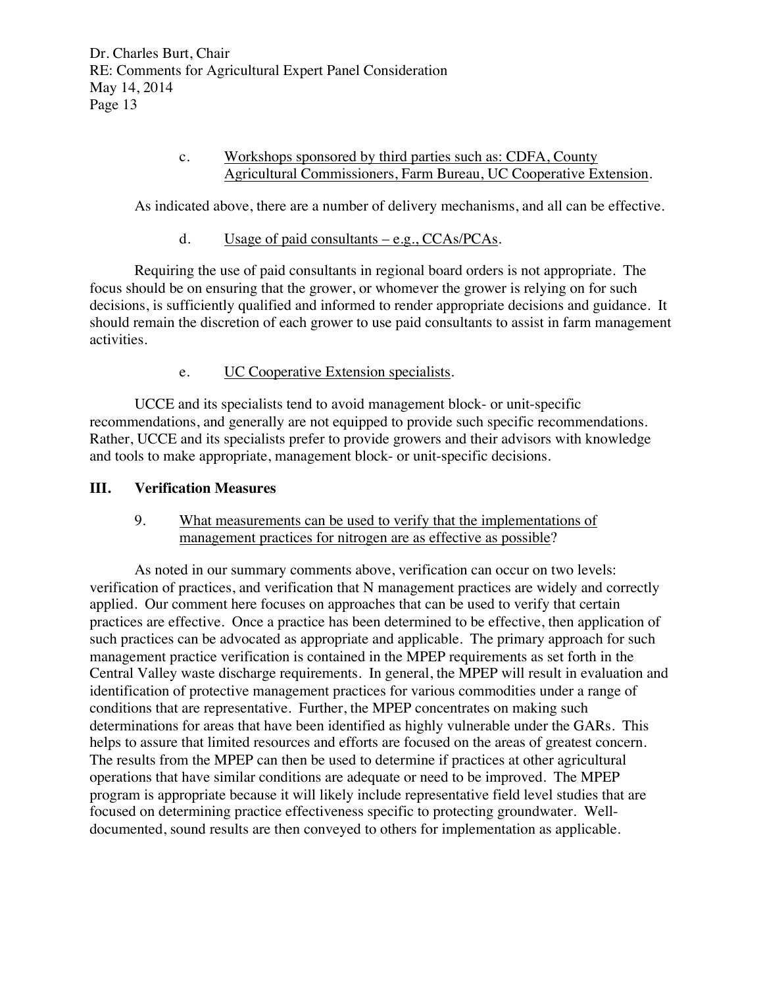## c. Workshops sponsored by third parties such as: CDFA, County Agricultural Commissioners, Farm Bureau, UC Cooperative Extension.

As indicated above, there are a number of delivery mechanisms, and all can be effective.

d. Usage of paid consultants – e.g., CCAs/PCAs.

Requiring the use of paid consultants in regional board orders is not appropriate. The focus should be on ensuring that the grower, or whomever the grower is relying on for such decisions, is sufficiently qualified and informed to render appropriate decisions and guidance. It should remain the discretion of each grower to use paid consultants to assist in farm management activities.

## e. UC Cooperative Extension specialists.

UCCE and its specialists tend to avoid management block- or unit-specific recommendations, and generally are not equipped to provide such specific recommendations. Rather, UCCE and its specialists prefer to provide growers and their advisors with knowledge and tools to make appropriate, management block- or unit-specific decisions.

## **III. Verification Measures**

## 9. What measurements can be used to verify that the implementations of management practices for nitrogen are as effective as possible?

As noted in our summary comments above, verification can occur on two levels: verification of practices, and verification that N management practices are widely and correctly applied. Our comment here focuses on approaches that can be used to verify that certain practices are effective. Once a practice has been determined to be effective, then application of such practices can be advocated as appropriate and applicable. The primary approach for such management practice verification is contained in the MPEP requirements as set forth in the Central Valley waste discharge requirements. In general, the MPEP will result in evaluation and identification of protective management practices for various commodities under a range of conditions that are representative. Further, the MPEP concentrates on making such determinations for areas that have been identified as highly vulnerable under the GARs. This helps to assure that limited resources and efforts are focused on the areas of greatest concern. The results from the MPEP can then be used to determine if practices at other agricultural operations that have similar conditions are adequate or need to be improved. The MPEP program is appropriate because it will likely include representative field level studies that are focused on determining practice effectiveness specific to protecting groundwater. Welldocumented, sound results are then conveyed to others for implementation as applicable.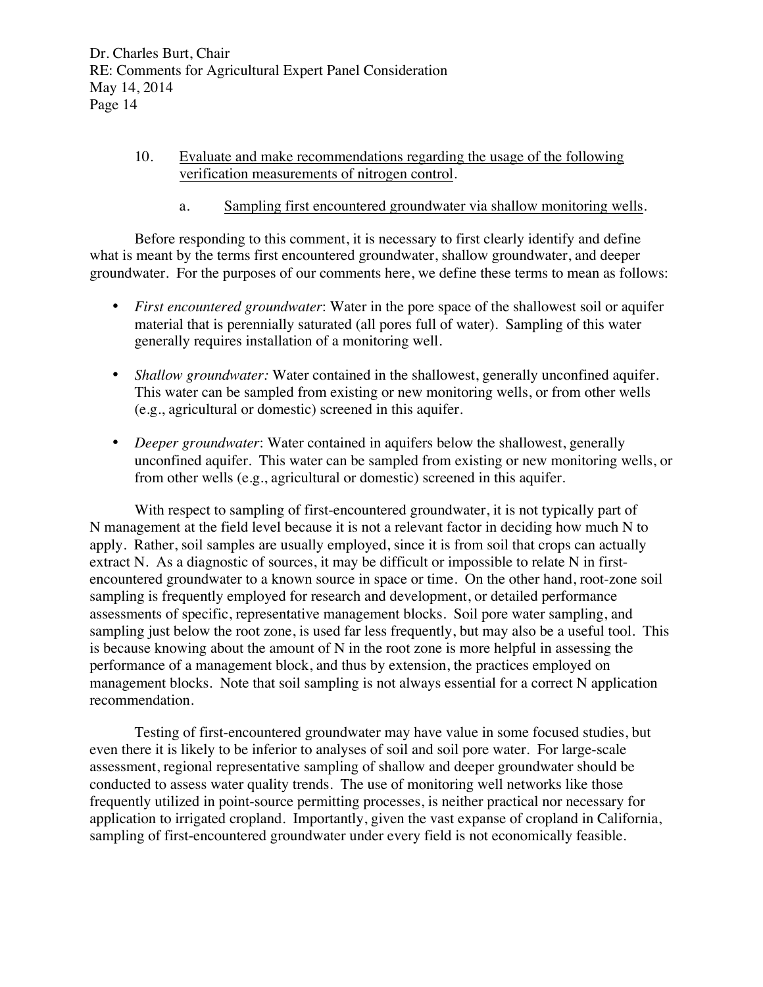# 10. Evaluate and make recommendations regarding the usage of the following verification measurements of nitrogen control.

a. Sampling first encountered groundwater via shallow monitoring wells.

Before responding to this comment, it is necessary to first clearly identify and define what is meant by the terms first encountered groundwater, shallow groundwater, and deeper groundwater. For the purposes of our comments here, we define these terms to mean as follows:

- *First encountered groundwater*: Water in the pore space of the shallowest soil or aquifer material that is perennially saturated (all pores full of water). Sampling of this water generally requires installation of a monitoring well.
- *Shallow groundwater:* Water contained in the shallowest, generally unconfined aquifer. This water can be sampled from existing or new monitoring wells, or from other wells (e.g., agricultural or domestic) screened in this aquifer.
- *Deeper groundwater*: Water contained in aquifers below the shallowest, generally unconfined aquifer. This water can be sampled from existing or new monitoring wells, or from other wells (e.g., agricultural or domestic) screened in this aquifer.

With respect to sampling of first-encountered groundwater, it is not typically part of N management at the field level because it is not a relevant factor in deciding how much N to apply. Rather, soil samples are usually employed, since it is from soil that crops can actually extract N. As a diagnostic of sources, it may be difficult or impossible to relate N in firstencountered groundwater to a known source in space or time. On the other hand, root-zone soil sampling is frequently employed for research and development, or detailed performance assessments of specific, representative management blocks. Soil pore water sampling, and sampling just below the root zone, is used far less frequently, but may also be a useful tool. This is because knowing about the amount of N in the root zone is more helpful in assessing the performance of a management block, and thus by extension, the practices employed on management blocks. Note that soil sampling is not always essential for a correct N application recommendation.

Testing of first-encountered groundwater may have value in some focused studies, but even there it is likely to be inferior to analyses of soil and soil pore water. For large-scale assessment, regional representative sampling of shallow and deeper groundwater should be conducted to assess water quality trends. The use of monitoring well networks like those frequently utilized in point-source permitting processes, is neither practical nor necessary for application to irrigated cropland. Importantly, given the vast expanse of cropland in California, sampling of first-encountered groundwater under every field is not economically feasible.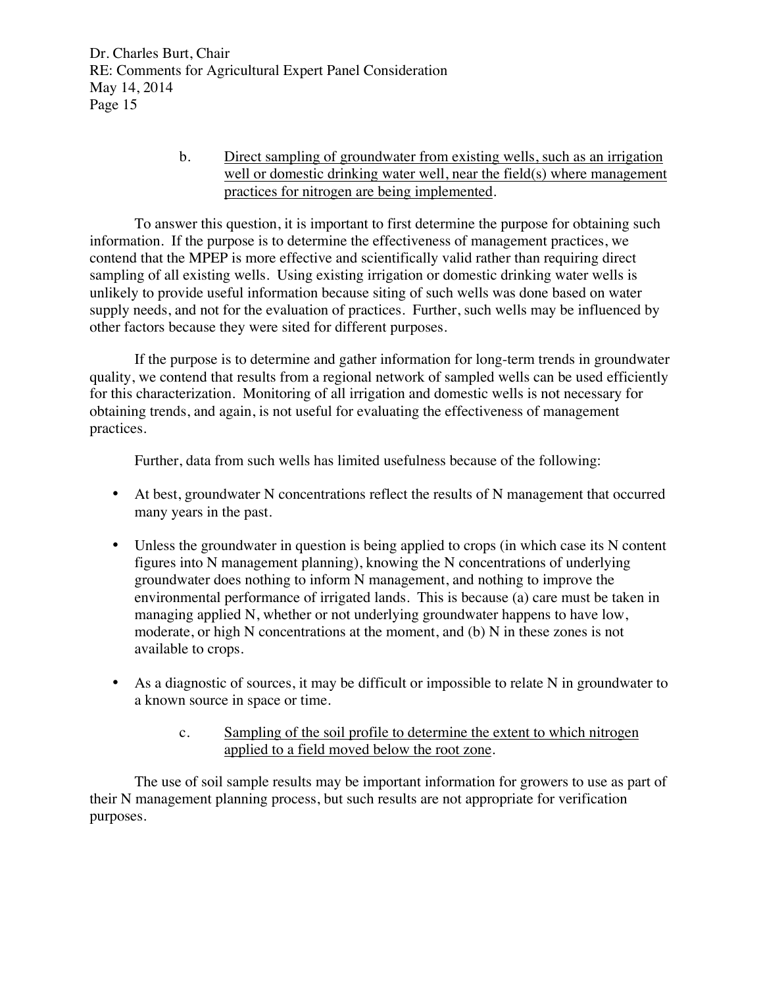> b. Direct sampling of groundwater from existing wells, such as an irrigation well or domestic drinking water well, near the field(s) where management practices for nitrogen are being implemented.

To answer this question, it is important to first determine the purpose for obtaining such information. If the purpose is to determine the effectiveness of management practices, we contend that the MPEP is more effective and scientifically valid rather than requiring direct sampling of all existing wells. Using existing irrigation or domestic drinking water wells is unlikely to provide useful information because siting of such wells was done based on water supply needs, and not for the evaluation of practices. Further, such wells may be influenced by other factors because they were sited for different purposes.

If the purpose is to determine and gather information for long-term trends in groundwater quality, we contend that results from a regional network of sampled wells can be used efficiently for this characterization. Monitoring of all irrigation and domestic wells is not necessary for obtaining trends, and again, is not useful for evaluating the effectiveness of management practices.

Further, data from such wells has limited usefulness because of the following:

- At best, groundwater N concentrations reflect the results of N management that occurred many years in the past.
- Unless the groundwater in question is being applied to crops (in which case its N content figures into N management planning), knowing the N concentrations of underlying groundwater does nothing to inform N management, and nothing to improve the environmental performance of irrigated lands. This is because (a) care must be taken in managing applied N, whether or not underlying groundwater happens to have low, moderate, or high N concentrations at the moment, and (b) N in these zones is not available to crops.
- As a diagnostic of sources, it may be difficult or impossible to relate N in groundwater to a known source in space or time.
	- c. Sampling of the soil profile to determine the extent to which nitrogen applied to a field moved below the root zone.

The use of soil sample results may be important information for growers to use as part of their N management planning process, but such results are not appropriate for verification purposes.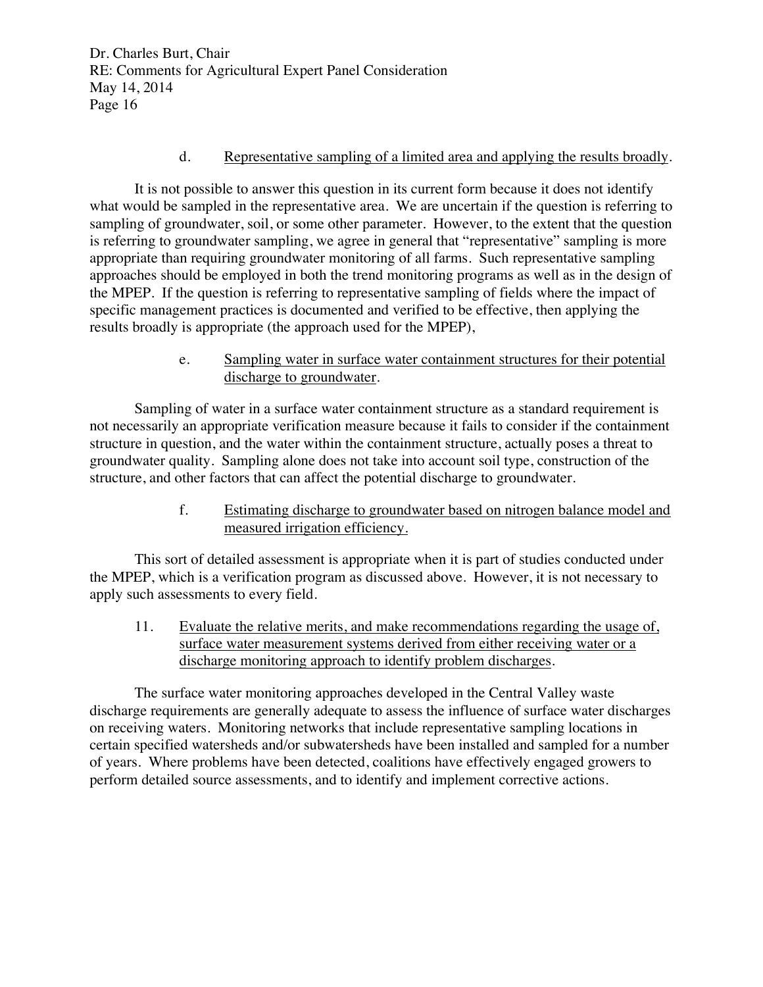## d. Representative sampling of a limited area and applying the results broadly.

It is not possible to answer this question in its current form because it does not identify what would be sampled in the representative area. We are uncertain if the question is referring to sampling of groundwater, soil, or some other parameter. However, to the extent that the question is referring to groundwater sampling, we agree in general that "representative" sampling is more appropriate than requiring groundwater monitoring of all farms. Such representative sampling approaches should be employed in both the trend monitoring programs as well as in the design of the MPEP. If the question is referring to representative sampling of fields where the impact of specific management practices is documented and verified to be effective, then applying the results broadly is appropriate (the approach used for the MPEP),

## e. Sampling water in surface water containment structures for their potential discharge to groundwater.

Sampling of water in a surface water containment structure as a standard requirement is not necessarily an appropriate verification measure because it fails to consider if the containment structure in question, and the water within the containment structure, actually poses a threat to groundwater quality. Sampling alone does not take into account soil type, construction of the structure, and other factors that can affect the potential discharge to groundwater.

> f. Estimating discharge to groundwater based on nitrogen balance model and measured irrigation efficiency.

This sort of detailed assessment is appropriate when it is part of studies conducted under the MPEP, which is a verification program as discussed above. However, it is not necessary to apply such assessments to every field.

11. Evaluate the relative merits, and make recommendations regarding the usage of, surface water measurement systems derived from either receiving water or a discharge monitoring approach to identify problem discharges.

The surface water monitoring approaches developed in the Central Valley waste discharge requirements are generally adequate to assess the influence of surface water discharges on receiving waters. Monitoring networks that include representative sampling locations in certain specified watersheds and/or subwatersheds have been installed and sampled for a number of years. Where problems have been detected, coalitions have effectively engaged growers to perform detailed source assessments, and to identify and implement corrective actions.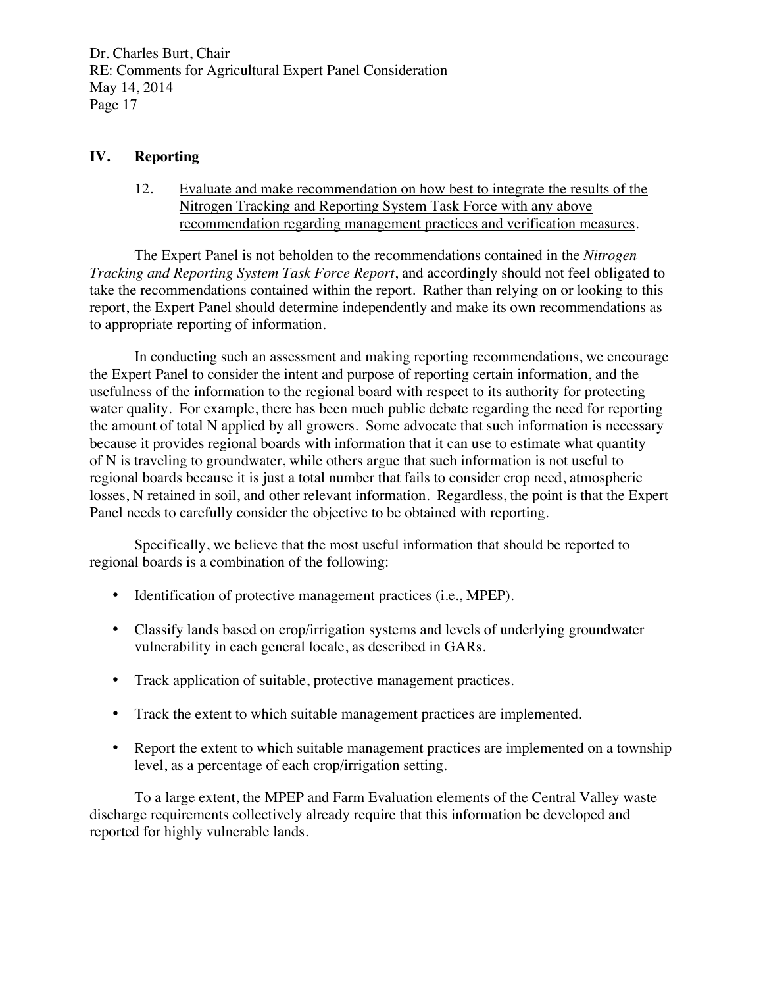### **IV. Reporting**

12. Evaluate and make recommendation on how best to integrate the results of the Nitrogen Tracking and Reporting System Task Force with any above recommendation regarding management practices and verification measures.

The Expert Panel is not beholden to the recommendations contained in the *Nitrogen Tracking and Reporting System Task Force Report*, and accordingly should not feel obligated to take the recommendations contained within the report. Rather than relying on or looking to this report, the Expert Panel should determine independently and make its own recommendations as to appropriate reporting of information.

In conducting such an assessment and making reporting recommendations, we encourage the Expert Panel to consider the intent and purpose of reporting certain information, and the usefulness of the information to the regional board with respect to its authority for protecting water quality. For example, there has been much public debate regarding the need for reporting the amount of total N applied by all growers. Some advocate that such information is necessary because it provides regional boards with information that it can use to estimate what quantity of N is traveling to groundwater, while others argue that such information is not useful to regional boards because it is just a total number that fails to consider crop need, atmospheric losses, N retained in soil, and other relevant information. Regardless, the point is that the Expert Panel needs to carefully consider the objective to be obtained with reporting.

Specifically, we believe that the most useful information that should be reported to regional boards is a combination of the following:

- Identification of protective management practices (i.e., MPEP).
- Classify lands based on crop/irrigation systems and levels of underlying groundwater vulnerability in each general locale, as described in GARs.
- Track application of suitable, protective management practices.
- Track the extent to which suitable management practices are implemented.
- Report the extent to which suitable management practices are implemented on a township level, as a percentage of each crop/irrigation setting.

To a large extent, the MPEP and Farm Evaluation elements of the Central Valley waste discharge requirements collectively already require that this information be developed and reported for highly vulnerable lands.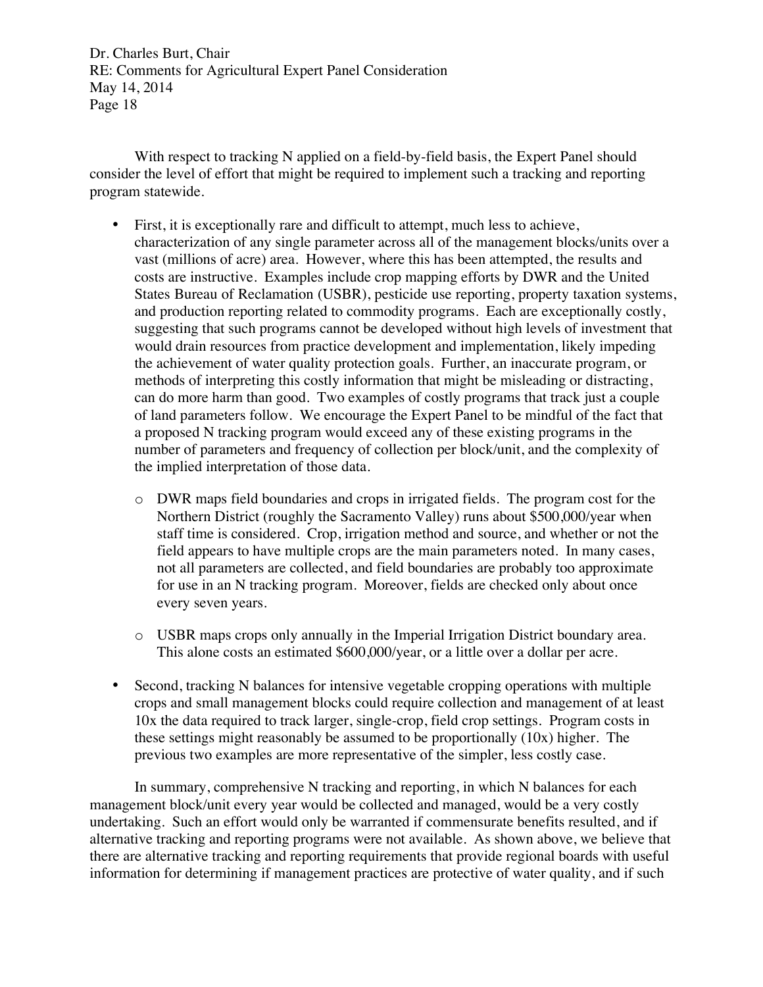With respect to tracking N applied on a field-by-field basis, the Expert Panel should consider the level of effort that might be required to implement such a tracking and reporting program statewide.

- First, it is exceptionally rare and difficult to attempt, much less to achieve, characterization of any single parameter across all of the management blocks/units over a vast (millions of acre) area. However, where this has been attempted, the results and costs are instructive. Examples include crop mapping efforts by DWR and the United States Bureau of Reclamation (USBR), pesticide use reporting, property taxation systems, and production reporting related to commodity programs. Each are exceptionally costly, suggesting that such programs cannot be developed without high levels of investment that would drain resources from practice development and implementation, likely impeding the achievement of water quality protection goals. Further, an inaccurate program, or methods of interpreting this costly information that might be misleading or distracting, can do more harm than good. Two examples of costly programs that track just a couple of land parameters follow. We encourage the Expert Panel to be mindful of the fact that a proposed N tracking program would exceed any of these existing programs in the number of parameters and frequency of collection per block/unit, and the complexity of the implied interpretation of those data.
	- o DWR maps field boundaries and crops in irrigated fields. The program cost for the Northern District (roughly the Sacramento Valley) runs about \$500,000/year when staff time is considered. Crop, irrigation method and source, and whether or not the field appears to have multiple crops are the main parameters noted. In many cases, not all parameters are collected, and field boundaries are probably too approximate for use in an N tracking program. Moreover, fields are checked only about once every seven years.
	- o USBR maps crops only annually in the Imperial Irrigation District boundary area. This alone costs an estimated \$600,000/year, or a little over a dollar per acre.
- Second, tracking N balances for intensive vegetable cropping operations with multiple crops and small management blocks could require collection and management of at least 10x the data required to track larger, single-crop, field crop settings. Program costs in these settings might reasonably be assumed to be proportionally (10x) higher. The previous two examples are more representative of the simpler, less costly case.

In summary, comprehensive N tracking and reporting, in which N balances for each management block/unit every year would be collected and managed, would be a very costly undertaking. Such an effort would only be warranted if commensurate benefits resulted, and if alternative tracking and reporting programs were not available. As shown above, we believe that there are alternative tracking and reporting requirements that provide regional boards with useful information for determining if management practices are protective of water quality, and if such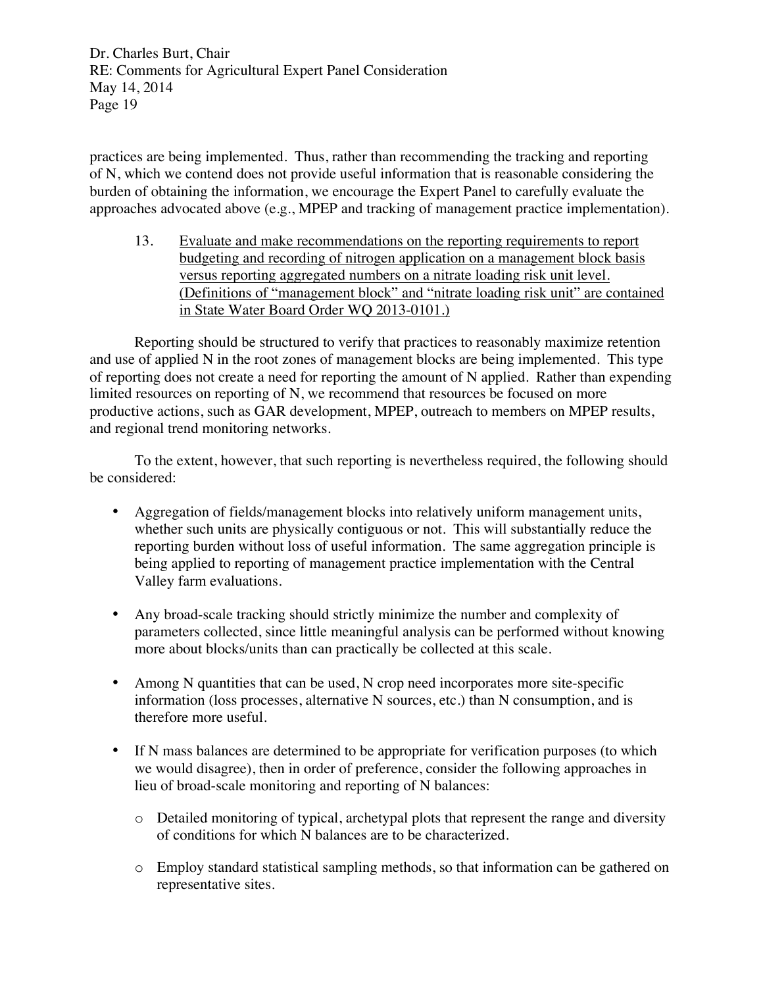practices are being implemented. Thus, rather than recommending the tracking and reporting of N, which we contend does not provide useful information that is reasonable considering the burden of obtaining the information, we encourage the Expert Panel to carefully evaluate the approaches advocated above (e.g., MPEP and tracking of management practice implementation).

13. Evaluate and make recommendations on the reporting requirements to report budgeting and recording of nitrogen application on a management block basis versus reporting aggregated numbers on a nitrate loading risk unit level. (Definitions of "management block" and "nitrate loading risk unit" are contained in State Water Board Order WQ 2013-0101.)

Reporting should be structured to verify that practices to reasonably maximize retention and use of applied N in the root zones of management blocks are being implemented. This type of reporting does not create a need for reporting the amount of N applied. Rather than expending limited resources on reporting of N, we recommend that resources be focused on more productive actions, such as GAR development, MPEP, outreach to members on MPEP results, and regional trend monitoring networks.

To the extent, however, that such reporting is nevertheless required, the following should be considered:

- Aggregation of fields/management blocks into relatively uniform management units, whether such units are physically contiguous or not. This will substantially reduce the reporting burden without loss of useful information. The same aggregation principle is being applied to reporting of management practice implementation with the Central Valley farm evaluations.
- Any broad-scale tracking should strictly minimize the number and complexity of parameters collected, since little meaningful analysis can be performed without knowing more about blocks/units than can practically be collected at this scale.
- Among N quantities that can be used, N crop need incorporates more site-specific information (loss processes, alternative N sources, etc.) than N consumption, and is therefore more useful.
- If N mass balances are determined to be appropriate for verification purposes (to which we would disagree), then in order of preference, consider the following approaches in lieu of broad-scale monitoring and reporting of N balances:
	- o Detailed monitoring of typical, archetypal plots that represent the range and diversity of conditions for which N balances are to be characterized.
	- o Employ standard statistical sampling methods, so that information can be gathered on representative sites.